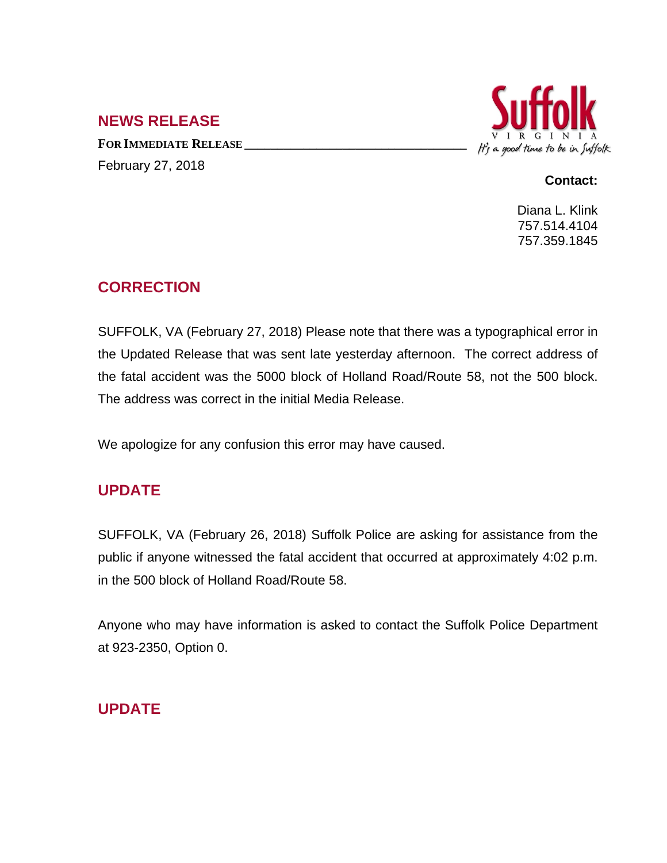## **NEWS RELEASE**

**FOR IMMEDIATE RELEASE \_\_\_\_\_\_\_\_\_\_\_\_\_\_\_\_\_\_\_\_\_\_\_\_\_\_\_\_\_\_\_\_\_\_** February 27, 2018



#### **Contact:**

Diana L. Klink 757.514.4104 757.359.1845

# **CORRECTION**

SUFFOLK, VA (February 27, 2018) Please note that there was a typographical error in the Updated Release that was sent late yesterday afternoon. The correct address of the fatal accident was the 5000 block of Holland Road/Route 58, not the 500 block. The address was correct in the initial Media Release.

We apologize for any confusion this error may have caused.

## **UPDATE**

SUFFOLK, VA (February 26, 2018) Suffolk Police are asking for assistance from the public if anyone witnessed the fatal accident that occurred at approximately 4:02 p.m. in the 500 block of Holland Road/Route 58.

Anyone who may have information is asked to contact the Suffolk Police Department at 923-2350, Option 0.

# **UPDATE**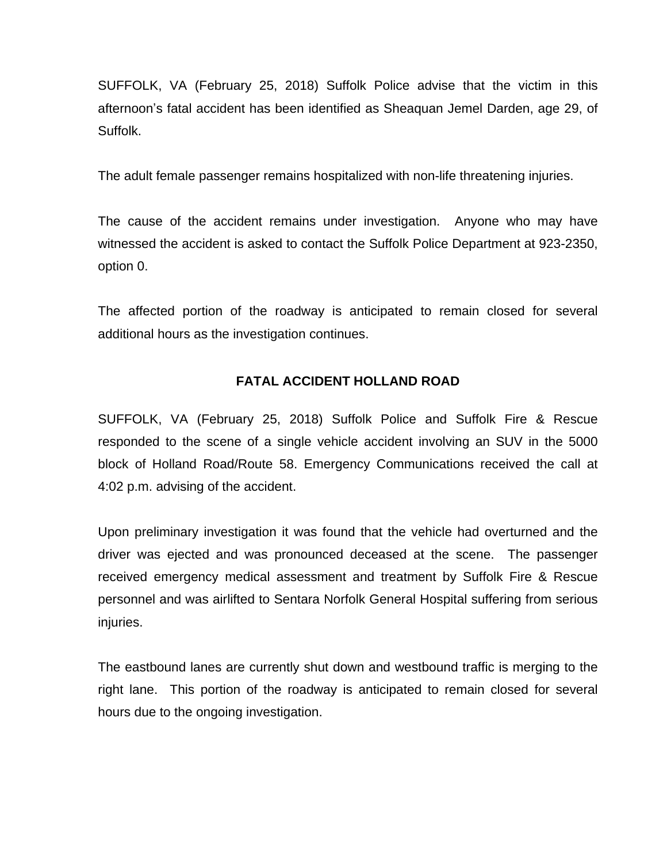SUFFOLK, VA (February 25, 2018) Suffolk Police advise that the victim in this afternoon's fatal accident has been identified as Sheaquan Jemel Darden, age 29, of Suffolk.

The adult female passenger remains hospitalized with non-life threatening injuries.

The cause of the accident remains under investigation. Anyone who may have witnessed the accident is asked to contact the Suffolk Police Department at 923-2350, option 0.

The affected portion of the roadway is anticipated to remain closed for several additional hours as the investigation continues.

#### **FATAL ACCIDENT HOLLAND ROAD**

SUFFOLK, VA (February 25, 2018) Suffolk Police and Suffolk Fire & Rescue responded to the scene of a single vehicle accident involving an SUV in the 5000 block of Holland Road/Route 58. Emergency Communications received the call at 4:02 p.m. advising of the accident.

Upon preliminary investigation it was found that the vehicle had overturned and the driver was ejected and was pronounced deceased at the scene. The passenger received emergency medical assessment and treatment by Suffolk Fire & Rescue personnel and was airlifted to Sentara Norfolk General Hospital suffering from serious injuries.

The eastbound lanes are currently shut down and westbound traffic is merging to the right lane. This portion of the roadway is anticipated to remain closed for several hours due to the ongoing investigation.